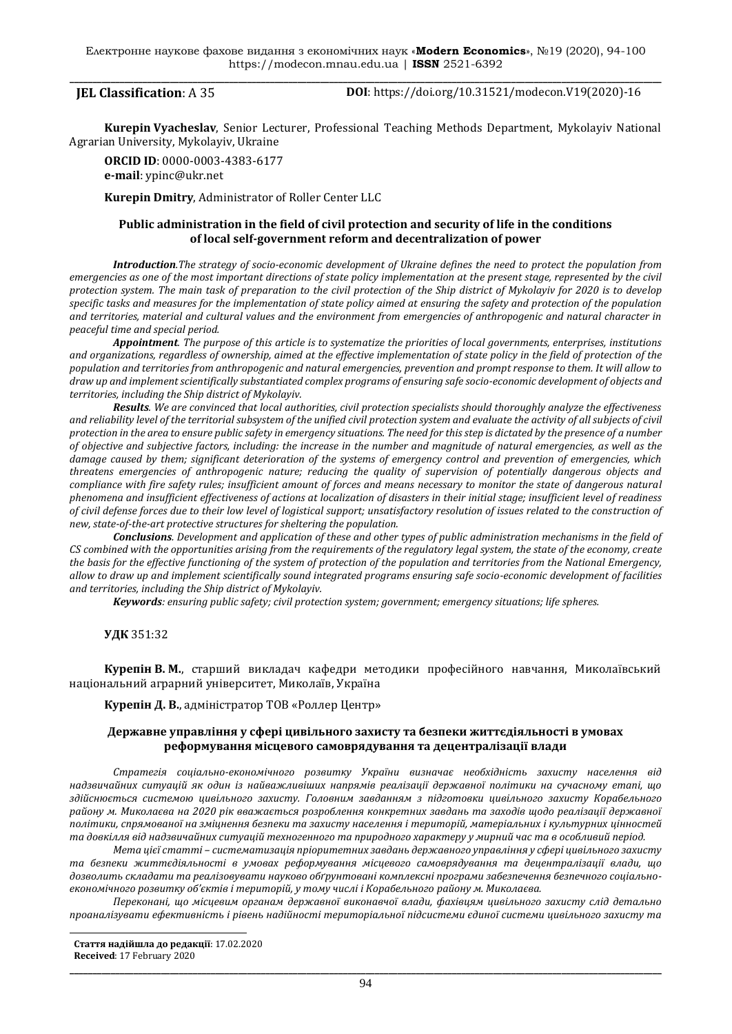**JEL Classification**: A 35 **DOI**: https://doi.org/10.31521/modecon.V19(2020)-16

**Kurepin Vyacheslav**, Senior Lecturer, Professional Teaching Methods Department, Mykolayiv National Agrarian University, Mykolayiv, Ukraine

**ORCID ID**: 0000-0003-4383-6177 **e-mail**: [ypinc@ukr.net](mailto:ypinc@ukr.net)

**Kurepin Dmitry**, Administrator of Roller Center LLC

# **Public administration in the field of civil protection and security of life in the conditions of local self-government reform and decentralization of power**

*Introduction.The strategy of socio-economic development of Ukraine defines the need to protect the population from emergencies as one of the most important directions of state policy implementation at the present stage, represented by the civil protection system. The main task of preparation to the civil protection of the Ship district of Mykolayiv for 2020 is to develop specific tasks and measures for the implementation of state policy aimed at ensuring the safety and protection of the population and territories, material and cultural values and the environment from emergencies of anthropogenic and natural character in peaceful time and special period.*

*Appointment. The purpose of this article is to systematize the priorities of local governments, enterprises, institutions and organizations, regardless of ownership, aimed at the effective implementation of state policy in the field of protection of the population and territories from anthropogenic and natural emergencies, prevention and prompt response to them. It will allow to draw up and implement scientifically substantiated complex programs of ensuring safe socio-economic development of objects and territories, including the Ship district of Mykolayiv.*

*Results. We are convinced that local authorities, civil protection specialists should thoroughly analyze the effectiveness and reliability level of the territorial subsystem of the unified civil protection system and evaluate the activity of all subjects of civil protection in the area to ensure public safety in emergency situations. The need for this step is dictated by the presence of a number of objective and subjective factors, including: the increase in the number and magnitude of natural emergencies, as well as the damage caused by them; significant deterioration of the systems of emergency control and prevention of emergencies, which threatens emergencies of anthropogenic nature; reducing the quality of supervision of potentially dangerous objects and compliance with fire safety rules; insufficient amount of forces and means necessary to monitor the state of dangerous natural phenomena and insufficient effectiveness of actions at localization of disasters in their initial stage; insufficient level of readiness of civil defense forces due to their low level of logistical support; unsatisfactory resolution of issues related to the construction of new, state-of-the-art protective structures for sheltering the population.*

*Conclusions. Development and application of these and other types of public administration mechanisms in the field of CS combined with the opportunities arising from the requirements of the regulatory legal system, the state of the economy, create the basis for the effective functioning of the system of protection of the population and territories from the National Emergency, allow to draw up and implement scientifically sound integrated programs ensuring safe socio-economic development of facilities and territories, including the Ship district of Mykolayiv.*

*Keywords: ensuring public safety; civil protection system; government; emergency situations; life spheres.*

# **УДК** 351:32

**Курепін В. М.**, старший викладач кафедри методики професійного навчання, Миколаївський національний аграрний університет, Миколаїв, Україна

**Курепін Д. В.**, адміністратор ТОВ «Роллер Центр»

### **Державне управління у сфері цивільного захисту та безпеки життєдіяльності в умовах реформування місцевого самоврядування та децентралізації влади**

*Стратегія соціально-економічного розвитку України визначає необхідність захисту населення від надзвичайних ситуацій як один із найважливіших напрямів реалізації державної політики на сучасному етапі, що здійснюється системою цивільного захисту. Головним завданням з підготовки цивільного захисту Корабельного району м. Миколаєва на 2020 рік вважається розроблення конкретних завдань та заходів щодо реалізації державної політики, спрямованої на зміцнення безпеки та захисту населення і територій, матеріальних і культурних цінностей та довкілля від надзвичайних ситуацій техногенного та природного характеру у мирний час та в особливий період.*

*Мета цієї статті – систематизація пріоритетних завдань державного управління у сфері цивільного захисту та безпеки життєдіяльності в умовах реформування місцевого самоврядування та децентралізації влади, що дозволить складати та реалізовувати науково обґрунтовані комплексні програми забезпечення безпечного соціальноекономічного розвитку об'єктів і територій, у тому числі і Корабельного району м. Миколаєва.*

*Переконані, що місцевим органам державної виконавчої влади, фахівцям цивільного захисту слід детально проаналізувати ефективність і рівень надійності територіальної підсистеми єдиної системи цивільного захисту та* 

 **Стаття надійшла до редакції**: 17.02.2020 **Received**: 17 February 2020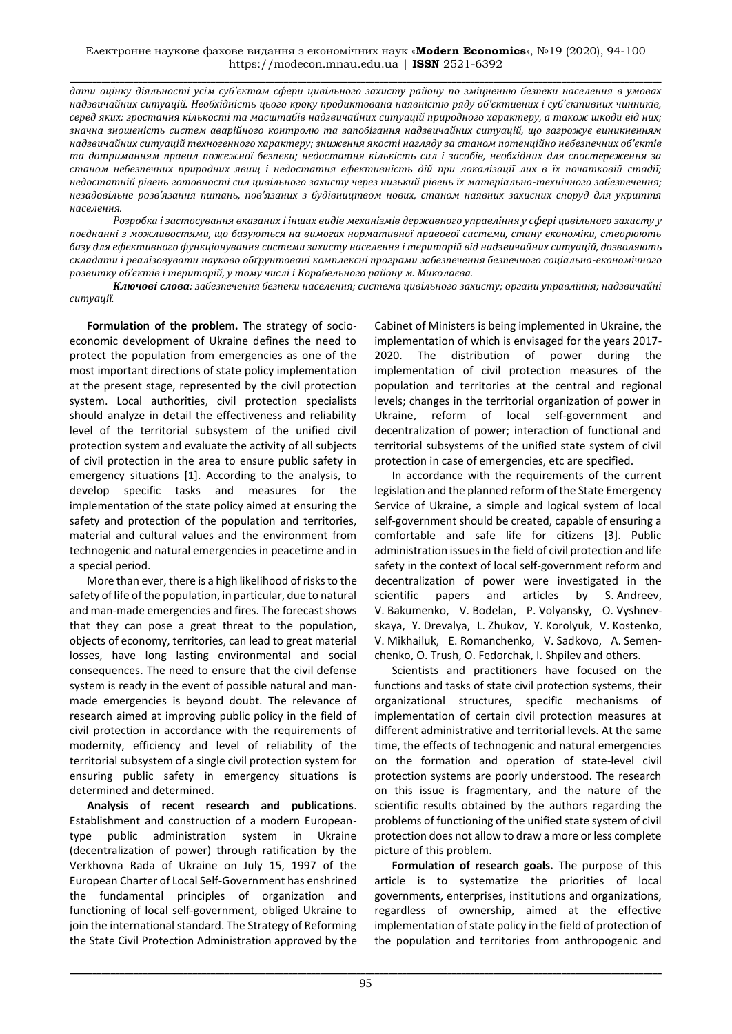**\_\_\_\_\_\_\_\_\_\_\_\_\_\_\_\_\_\_\_\_\_\_\_\_\_\_\_\_\_\_\_\_\_\_\_\_\_\_\_\_\_\_\_\_\_\_\_\_\_\_\_\_\_\_\_\_\_\_\_\_\_\_\_\_\_\_\_\_\_\_\_\_\_\_\_\_\_\_\_\_\_\_\_\_\_\_\_\_\_\_\_\_\_\_\_\_\_\_\_\_\_\_\_\_\_\_\_\_\_\_\_\_\_\_\_\_\_\_\_\_\_\_\_\_\_\_\_\_\_\_** *дати оцінку діяльності усім суб'єктам сфери цивільного захисту району по зміцненню безпеки населення в умовах надзвичайних ситуацій. Необхідність цього кроку продиктована наявністю ряду об'єктивних і суб'єктивних чинників, серед яких: зростання кількості та масштабів надзвичайних ситуацій природного характеру, а також шкоди від них; значна зношеність систем аварійного контролю та запобігання надзвичайних ситуацій, що загрожує виникненням надзвичайних ситуацій техногенного характеру; зниження якості нагляду за станом потенційно небезпечних об'єктів та дотриманням правил пожежної безпеки; недостатня кількість сил і засобів, необхідних для спостереження за станом небезпечних природних явищ і недостатня ефективність дій при локалізації лих в їх початковій стадії; недостатній рівень готовності сил цивільного захисту через низький рівень їх матеріально-технічного забезпечення; незадовільне розв'язання питань, пов'язаних з будівництвом нових, станом наявних захисних споруд для укриття населення.*

*Розробка і застосування вказаних і інших видів механізмів державного управління у сфері цивільного захисту у поєднанні з можливостями, що базуються на вимогах нормативної правової системи, стану економіки, створюють базу для ефективного функціонування системи захисту населення і територій від надзвичайних ситуацій, дозволяють складати і реалізовувати науково обґрунтовані комплексні програми забезпечення безпечного соціально-економічного розвитку об'єктів і територій, у тому числі і Корабельного району м. Миколаєва.*

*Ключові слова: забезпечення безпеки населення; система цивільного захисту; органи управління; надзвичайні ситуації.*

**Formulation of the problem.** The strategy of socioeconomic development of Ukraine defines the need to protect the population from emergencies as one of the most important directions of state policy implementation at the present stage, represented by the civil protection system. Local authorities, civil protection specialists should analyze in detail the effectiveness and reliability level of the territorial subsystem of the unified civil protection system and evaluate the activity of all subjects of civil protection in the area to ensure public safety in emergency situations [1]. According to the analysis, to develop specific tasks and measures for the implementation of the state policy aimed at ensuring the safety and protection of the population and territories, material and cultural values and the environment from technogenic and natural emergencies in peacetime and in a special period.

More than ever, there is a high likelihood of risks to the safety of life of the population, in particular, due to natural and man-made emergencies and fires. The forecast shows that they can pose a great threat to the population, objects of economy, territories, can lead to great material losses, have long lasting environmental and social consequences. The need to ensure that the civil defense system is ready in the event of possible natural and manmade emergencies is beyond doubt. The relevance of research aimed at improving public policy in the field of civil protection in accordance with the requirements of modernity, efficiency and level of reliability of the territorial subsystem of a single civil protection system for ensuring public safety in emergency situations is determined and determined.

**Analysis of recent research and publications**. Establishment and construction of a modern Europeantype public administration system in Ukraine (decentralization of power) through ratification by the Verkhovna Rada of Ukraine on July 15, 1997 of the European Charter of Local Self-Government has enshrined the fundamental principles of organization and functioning of local self-government, obliged Ukraine to join the international standard. The Strategy of Reforming the State Civil Protection Administration approved by the

Cabinet of Ministers is being implemented in Ukraine, the implementation of which is envisaged for the years 2017- 2020. The distribution of power during the implementation of civil protection measures of the population and territories at the central and regional levels; changes in the territorial organization of power in Ukraine, reform of local self-government and decentralization of power; interaction of functional and territorial subsystems of the unified state system of civil protection in case of emergencies, etc are specified.

In accordance with the requirements of the current legislation and the planned reform of the State Emergency Service of Ukraine, a simple and logical system of local self-government should be created, capable of ensuring a comfortable and safe life for citizens [3]. Public administration issues in the field of civil protection and life safety in the context of local self-government reform and decentralization of power were investigated in the scientific papers and articles by S. Andreev, V. Bakumenko, V. Bodelan, P. Volyansky, O. Vyshnevskaya, Y. Drevalya, L. Zhukov, Y. Korolyuk, V. Kostenko, V. Mikhailuk, E. Romanchenko, V. Sadkovo, A. Semenchenko, O. Trush, O. Fedorchak, I. Shpilev and others.

Scientists and practitioners have focused on the functions and tasks of state civil protection systems, their organizational structures, specific mechanisms of implementation of certain civil protection measures at different administrative and territorial levels. At the same time, the effects of technogenic and natural emergencies on the formation and operation of state-level civil protection systems are poorly understood. The research on this issue is fragmentary, and the nature of the scientific results obtained by the authors regarding the problems of functioning of the unified state system of civil protection does not allow to draw a more or less complete picture of this problem.

**Formulation of research goals.** The purpose of this article is to systematize the priorities of local governments, enterprises, institutions and organizations, regardless of ownership, aimed at the effective implementation of state policy in the field of protection of the population and territories from anthropogenic and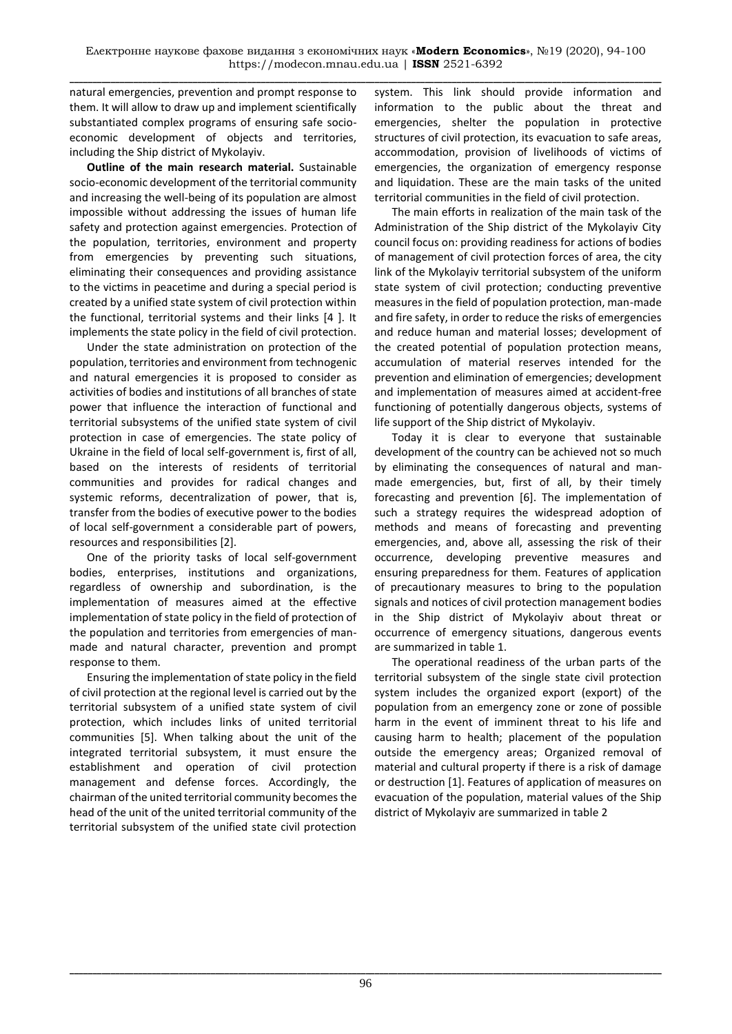natural emergencies, prevention and prompt response to them. It will allow to draw up and implement scientifically substantiated complex programs of ensuring safe socioeconomic development of objects and territories, including the Ship district of Mykolayiv.

**Outline of the main research material.** Sustainable socio-economic development of the territorial community and increasing the well-being of its population are almost impossible without addressing the issues of human life safety and protection against emergencies. Protection of the population, territories, environment and property from emergencies by preventing such situations, eliminating their consequences and providing assistance to the victims in peacetime and during a special period is created by a unified state system of civil protection within the functional, territorial systems and their links [4 ]. It implements the state policy in the field of civil protection.

Under the state administration on protection of the population, territories and environment from technogenic and natural emergencies it is proposed to consider as activities of bodies and institutions of all branches of state power that influence the interaction of functional and territorial subsystems of the unified state system of civil protection in case of emergencies. The state policy of Ukraine in the field of local self-government is, first of all, based on the interests of residents of territorial communities and provides for radical changes and systemic reforms, decentralization of power, that is, transfer from the bodies of executive power to the bodies of local self-government a considerable part of powers, resources and responsibilities [2].

One of the priority tasks of local self-government bodies, enterprises, institutions and organizations, regardless of ownership and subordination, is the implementation of measures aimed at the effective implementation of state policy in the field of protection of the population and territories from emergencies of manmade and natural character, prevention and prompt response to them.

Ensuring the implementation of state policy in the field of civil protection at the regional level is carried out by the territorial subsystem of a unified state system of civil protection, which includes links of united territorial communities [5]. When talking about the unit of the integrated territorial subsystem, it must ensure the establishment and operation of civil protection management and defense forces. Accordingly, the chairman of the united territorial community becomes the head of the unit of the united territorial community of the territorial subsystem of the unified state civil protection

system. This link should provide information and information to the public about the threat and emergencies, shelter the population in protective structures of civil protection, its evacuation to safe areas, accommodation, provision of livelihoods of victims of emergencies, the organization of emergency response and liquidation. These are the main tasks of the united territorial communities in the field of civil protection.

The main efforts in realization of the main task of the Administration of the Ship district of the Mykolayiv City council focus on: providing readiness for actions of bodies of management of civil protection forces of area, the city link of the Mykolayiv territorial subsystem of the uniform state system of civil protection; conducting preventive measures in the field of population protection, man-made and fire safety, in order to reduce the risks of emergencies and reduce human and material losses; development of the created potential of population protection means, accumulation of material reserves intended for the prevention and elimination of emergencies; development and implementation of measures aimed at accident-free functioning of potentially dangerous objects, systems of life support of the Ship district of Mykolayiv.

Today it is clear to everyone that sustainable development of the country can be achieved not so much by eliminating the consequences of natural and manmade emergencies, but, first of all, by their timely forecasting and prevention [6]. The implementation of such a strategy requires the widespread adoption of methods and means of forecasting and preventing emergencies, and, above all, assessing the risk of their occurrence, developing preventive measures and ensuring preparedness for them. Features of application of precautionary measures to bring to the population signals and notices of civil protection management bodies in the Ship district of Mykolayiv about threat or occurrence of emergency situations, dangerous events are summarized in table 1.

The operational readiness of the urban parts of the territorial subsystem of the single state civil protection system includes the organized export (export) of the population from an emergency zone or zone of possible harm in the event of imminent threat to his life and causing harm to health; placement of the population outside the emergency areas; Organized removal of material and cultural property if there is a risk of damage or destruction [1]. Features of application of measures on evacuation of the population, material values of the Ship district of Mykolayiv are summarized in table 2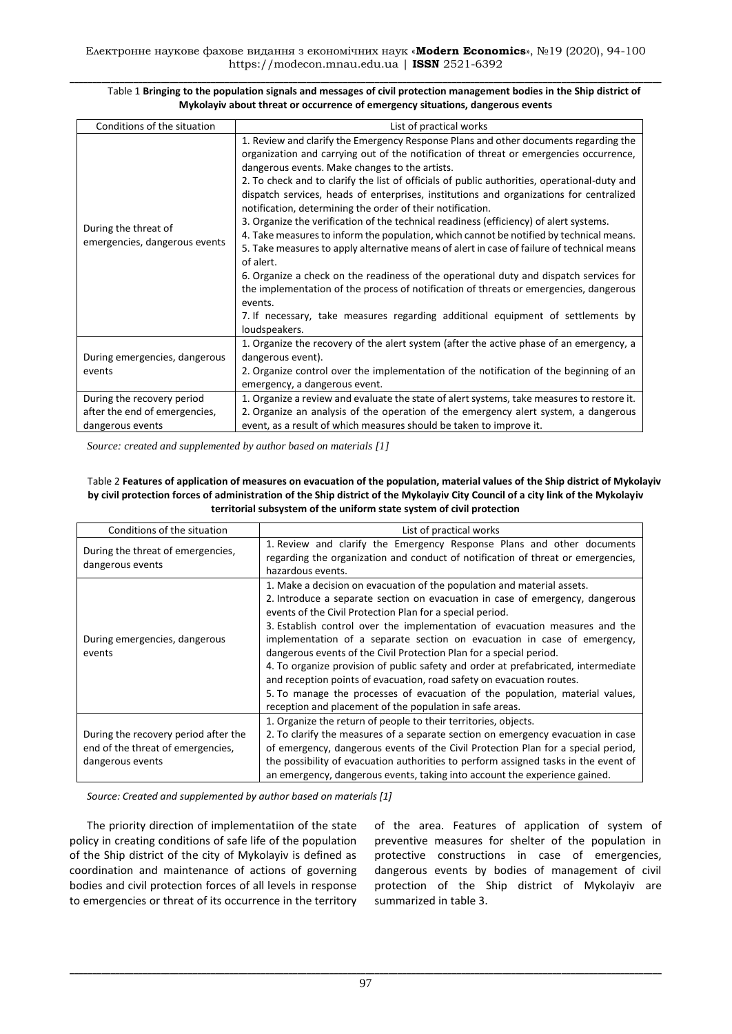| Conditions of the situation                                                     | List of practical works                                                                                                                                                                                                                                                                                                                                                                                                                                                                                                                                                                                                                                                                                                                                                                                                                                                                                                                                                                                                                                                                      |
|---------------------------------------------------------------------------------|----------------------------------------------------------------------------------------------------------------------------------------------------------------------------------------------------------------------------------------------------------------------------------------------------------------------------------------------------------------------------------------------------------------------------------------------------------------------------------------------------------------------------------------------------------------------------------------------------------------------------------------------------------------------------------------------------------------------------------------------------------------------------------------------------------------------------------------------------------------------------------------------------------------------------------------------------------------------------------------------------------------------------------------------------------------------------------------------|
| During the threat of<br>emergencies, dangerous events                           | 1. Review and clarify the Emergency Response Plans and other documents regarding the<br>organization and carrying out of the notification of threat or emergencies occurrence,<br>dangerous events. Make changes to the artists.<br>2. To check and to clarify the list of officials of public authorities, operational-duty and<br>dispatch services, heads of enterprises, institutions and organizations for centralized<br>notification, determining the order of their notification.<br>3. Organize the verification of the technical readiness (efficiency) of alert systems.<br>4. Take measures to inform the population, which cannot be notified by technical means.<br>5. Take measures to apply alternative means of alert in case of failure of technical means<br>of alert.<br>6. Organize a check on the readiness of the operational duty and dispatch services for<br>the implementation of the process of notification of threats or emergencies, dangerous<br>events.<br>7. If necessary, take measures regarding additional equipment of settlements by<br>loudspeakers. |
| During emergencies, dangerous<br>events                                         | 1. Organize the recovery of the alert system (after the active phase of an emergency, a<br>dangerous event).<br>2. Organize control over the implementation of the notification of the beginning of an<br>emergency, a dangerous event.                                                                                                                                                                                                                                                                                                                                                                                                                                                                                                                                                                                                                                                                                                                                                                                                                                                      |
| During the recovery period<br>after the end of emergencies,<br>dangerous events | 1. Organize a review and evaluate the state of alert systems, take measures to restore it.<br>2. Organize an analysis of the operation of the emergency alert system, a dangerous<br>event, as a result of which measures should be taken to improve it.                                                                                                                                                                                                                                                                                                                                                                                                                                                                                                                                                                                                                                                                                                                                                                                                                                     |

#### **\_\_\_\_\_\_\_\_\_\_\_\_\_\_\_\_\_\_\_\_\_\_\_\_\_\_\_\_\_\_\_\_\_\_\_\_\_\_\_\_\_\_\_\_\_\_\_\_\_\_\_\_\_\_\_\_\_\_\_\_\_\_\_\_\_\_\_\_\_\_\_\_\_\_\_\_\_\_\_\_\_\_\_\_\_\_\_\_\_\_\_\_\_\_\_\_\_\_\_\_\_\_\_\_\_\_\_\_\_\_\_\_\_\_\_\_\_\_\_\_\_\_\_\_\_\_\_\_\_\_** Table 1 **Bringing to the population signals and messages of civil protection management bodies in the Ship district of Mykolayiv about threat or occurrence of emergency situations, dangerous events**

*Source: created and supplemented by author based on materials [1]*

#### Table 2 **Features of application of measures on evacuation of the population, material values of the Ship district of Mykolayiv by civil protection forces of administration of the Ship district of the Mykolayiv City Council of a city link of the Mykolayiv territorial subsystem of the uniform state system of civil protection**

| Conditions of the situation                                                                   | List of practical works                                                                                                                                                                                                                                                                                                                                                                                                                                                                                                                                                                                                                                                                                                                                            |
|-----------------------------------------------------------------------------------------------|--------------------------------------------------------------------------------------------------------------------------------------------------------------------------------------------------------------------------------------------------------------------------------------------------------------------------------------------------------------------------------------------------------------------------------------------------------------------------------------------------------------------------------------------------------------------------------------------------------------------------------------------------------------------------------------------------------------------------------------------------------------------|
| During the threat of emergencies,<br>dangerous events                                         | 1. Review and clarify the Emergency Response Plans and other documents<br>regarding the organization and conduct of notification of threat or emergencies,<br>hazardous events.                                                                                                                                                                                                                                                                                                                                                                                                                                                                                                                                                                                    |
| During emergencies, dangerous<br>events                                                       | 1. Make a decision on evacuation of the population and material assets.<br>2. Introduce a separate section on evacuation in case of emergency, dangerous<br>events of the Civil Protection Plan for a special period.<br>3. Establish control over the implementation of evacuation measures and the<br>implementation of a separate section on evacuation in case of emergency,<br>dangerous events of the Civil Protection Plan for a special period.<br>4. To organize provision of public safety and order at prefabricated, intermediate<br>and reception points of evacuation, road safety on evacuation routes.<br>5. To manage the processes of evacuation of the population, material values,<br>reception and placement of the population in safe areas. |
| During the recovery period after the<br>end of the threat of emergencies,<br>dangerous events | 1. Organize the return of people to their territories, objects.<br>2. To clarify the measures of a separate section on emergency evacuation in case<br>of emergency, dangerous events of the Civil Protection Plan for a special period,<br>the possibility of evacuation authorities to perform assigned tasks in the event of<br>an emergency, dangerous events, taking into account the experience gained.                                                                                                                                                                                                                                                                                                                                                      |

*Source: Created and supplemented by author based on materials [1]*

The priority direction of implementatіion of the state policy in creating conditions of safe life of the population of the Ship district of the city of Mykolayiv is defined as coordination and maintenance of actions of governing bodies and civil protection forces of all levels in response to emergencies or threat of its occurrence in the territory of the area. Features of application of system of preventive measures for shelter of the population in protective constructions in case of emergencies, dangerous events by bodies of management of civil protection of the Ship district of Mykolayiv are summarized in table 3.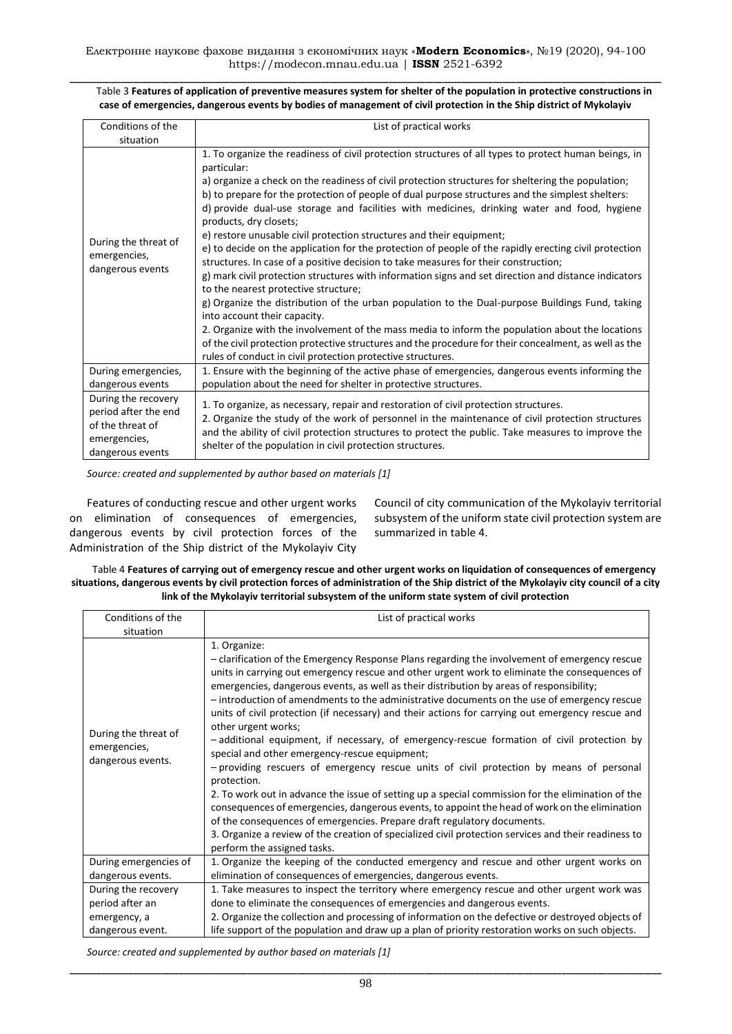| Table 3 Features of application of preventive measures system for shelter of the population in protective constructions in |
|----------------------------------------------------------------------------------------------------------------------------|
| case of emergencies, dangerous events by bodies of management of civil protection in the Ship district of Mykolayiv        |

| Conditions of the                                                                                   | List of practical works                                                                                                                                                                                                                                                                                                                                                                                                                                                                                                                                                                                                                                                                                                                                                                                                                                                                                                                                                                                                                                                                                                                                                                                                                                                                      |
|-----------------------------------------------------------------------------------------------------|----------------------------------------------------------------------------------------------------------------------------------------------------------------------------------------------------------------------------------------------------------------------------------------------------------------------------------------------------------------------------------------------------------------------------------------------------------------------------------------------------------------------------------------------------------------------------------------------------------------------------------------------------------------------------------------------------------------------------------------------------------------------------------------------------------------------------------------------------------------------------------------------------------------------------------------------------------------------------------------------------------------------------------------------------------------------------------------------------------------------------------------------------------------------------------------------------------------------------------------------------------------------------------------------|
| situation                                                                                           |                                                                                                                                                                                                                                                                                                                                                                                                                                                                                                                                                                                                                                                                                                                                                                                                                                                                                                                                                                                                                                                                                                                                                                                                                                                                                              |
| During the threat of<br>emergencies,<br>dangerous events                                            | 1. To organize the readiness of civil protection structures of all types to protect human beings, in<br>particular:<br>a) organize a check on the readiness of civil protection structures for sheltering the population;<br>b) to prepare for the protection of people of dual purpose structures and the simplest shelters:<br>d) provide dual-use storage and facilities with medicines, drinking water and food, hygiene<br>products, dry closets;<br>e) restore unusable civil protection structures and their equipment;<br>e) to decide on the application for the protection of people of the rapidly erecting civil protection<br>structures. In case of a positive decision to take measures for their construction;<br>g) mark civil protection structures with information signs and set direction and distance indicators<br>to the nearest protective structure;<br>g) Organize the distribution of the urban population to the Dual-purpose Buildings Fund, taking<br>into account their capacity.<br>2. Organize with the involvement of the mass media to inform the population about the locations<br>of the civil protection protective structures and the procedure for their concealment, as well as the<br>rules of conduct in civil protection protective structures. |
| During emergencies,<br>dangerous events                                                             | 1. Ensure with the beginning of the active phase of emergencies, dangerous events informing the<br>population about the need for shelter in protective structures.                                                                                                                                                                                                                                                                                                                                                                                                                                                                                                                                                                                                                                                                                                                                                                                                                                                                                                                                                                                                                                                                                                                           |
| During the recovery<br>period after the end<br>of the threat of<br>emergencies,<br>dangerous events | 1. To organize, as necessary, repair and restoration of civil protection structures.<br>2. Organize the study of the work of personnel in the maintenance of civil protection structures<br>and the ability of civil protection structures to protect the public. Take measures to improve the<br>shelter of the population in civil protection structures.                                                                                                                                                                                                                                                                                                                                                                                                                                                                                                                                                                                                                                                                                                                                                                                                                                                                                                                                  |

*Source: created and supplemented by author based on materials [1]*

Features of conducting rescue and other urgent works on elimination of consequences of emergencies, dangerous events by civil protection forces of the Administration of the Ship district of the Mykolayiv City

Council of city communication of the Mykolayiv territorial subsystem of the uniform state civil protection system are summarized in table 4.

Table 4 **Features of carrying out of emergency rescue and other urgent works on liquidation of consequences of emergency situations, dangerous events by civil protection forces of administration of the Ship district of the Mykolayiv city council of a city link of the Mykolayiv territorial subsystem of the uniform state system of civil protection**

| Conditions of the                                         | List of practical works                                                                                                                                                                                                                                                                                                                                                                                                                                                                                                                                                                                                                                                                                                                                                                                                                                                                                                                                                                                                                                                                                                                                                                                              |
|-----------------------------------------------------------|----------------------------------------------------------------------------------------------------------------------------------------------------------------------------------------------------------------------------------------------------------------------------------------------------------------------------------------------------------------------------------------------------------------------------------------------------------------------------------------------------------------------------------------------------------------------------------------------------------------------------------------------------------------------------------------------------------------------------------------------------------------------------------------------------------------------------------------------------------------------------------------------------------------------------------------------------------------------------------------------------------------------------------------------------------------------------------------------------------------------------------------------------------------------------------------------------------------------|
| situation                                                 |                                                                                                                                                                                                                                                                                                                                                                                                                                                                                                                                                                                                                                                                                                                                                                                                                                                                                                                                                                                                                                                                                                                                                                                                                      |
| During the threat of<br>emergencies,<br>dangerous events. | 1. Organize:<br>- clarification of the Emergency Response Plans regarding the involvement of emergency rescue<br>units in carrying out emergency rescue and other urgent work to eliminate the consequences of<br>emergencies, dangerous events, as well as their distribution by areas of responsibility;<br>- introduction of amendments to the administrative documents on the use of emergency rescue<br>units of civil protection (if necessary) and their actions for carrying out emergency rescue and<br>other urgent works;<br>-additional equipment, if necessary, of emergency-rescue formation of civil protection by<br>special and other emergency-rescue equipment;<br>- providing rescuers of emergency rescue units of civil protection by means of personal<br>protection.<br>2. To work out in advance the issue of setting up a special commission for the elimination of the<br>consequences of emergencies, dangerous events, to appoint the head of work on the elimination<br>of the consequences of emergencies. Prepare draft regulatory documents.<br>3. Organize a review of the creation of specialized civil protection services and their readiness to<br>perform the assigned tasks. |
| During emergencies of                                     | 1. Organize the keeping of the conducted emergency and rescue and other urgent works on                                                                                                                                                                                                                                                                                                                                                                                                                                                                                                                                                                                                                                                                                                                                                                                                                                                                                                                                                                                                                                                                                                                              |
| dangerous events.                                         | elimination of consequences of emergencies, dangerous events.                                                                                                                                                                                                                                                                                                                                                                                                                                                                                                                                                                                                                                                                                                                                                                                                                                                                                                                                                                                                                                                                                                                                                        |
| During the recovery                                       | 1. Take measures to inspect the territory where emergency rescue and other urgent work was                                                                                                                                                                                                                                                                                                                                                                                                                                                                                                                                                                                                                                                                                                                                                                                                                                                                                                                                                                                                                                                                                                                           |
| period after an                                           | done to eliminate the consequences of emergencies and dangerous events.                                                                                                                                                                                                                                                                                                                                                                                                                                                                                                                                                                                                                                                                                                                                                                                                                                                                                                                                                                                                                                                                                                                                              |
| emergency, a                                              | 2. Organize the collection and processing of information on the defective or destroyed objects of                                                                                                                                                                                                                                                                                                                                                                                                                                                                                                                                                                                                                                                                                                                                                                                                                                                                                                                                                                                                                                                                                                                    |
| dangerous event.                                          | life support of the population and draw up a plan of priority restoration works on such objects.                                                                                                                                                                                                                                                                                                                                                                                                                                                                                                                                                                                                                                                                                                                                                                                                                                                                                                                                                                                                                                                                                                                     |

*Source: created and supplemented by author based on materials [1]*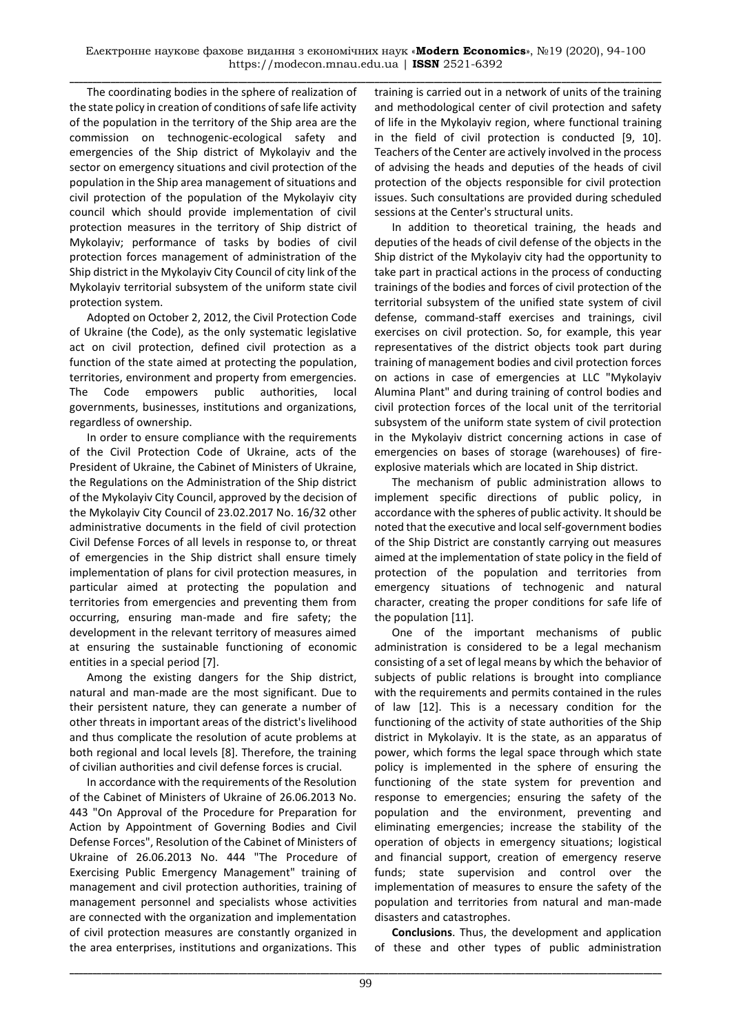**\_\_\_\_\_\_\_\_\_\_\_\_\_\_\_\_\_\_\_\_\_\_\_\_\_\_\_\_\_\_\_\_\_\_\_\_\_\_\_\_\_\_\_\_\_\_\_\_\_\_\_\_\_\_\_\_\_\_\_\_\_\_\_\_\_\_\_\_\_\_\_\_\_\_\_\_\_\_\_\_\_\_\_\_\_\_\_\_\_\_\_\_\_\_\_\_\_\_\_\_\_\_\_\_\_\_\_\_\_\_\_\_\_\_\_\_\_\_\_\_\_\_\_\_\_\_\_\_\_\_** The coordinating bodies in the sphere of realization of the state policy in creation of conditions of safe life activity of the population in the territory of the Ship area are the commission on technogenic-ecological safety and emergencies of the Ship district of Mykolayiv and the sector on emergency situations and civil protection of the population in the Ship area management of situations and civil protection of the population of the Mykolayiv city council which should provide implementation of civil protection measures in the territory of Ship district of Mykolayiv; performance of tasks by bodies of civil protection forces management of administration of the Ship district in the Mykolayiv City Council of city link of the Mykolayiv territorial subsystem of the uniform state civil protection system.

Adopted on October 2, 2012, the Civil Protection Code of Ukraine (the Code), as the only systematic legislative act on civil protection, defined civil protection as a function of the state aimed at protecting the population, territories, environment and property from emergencies. The Code empowers public authorities, local governments, businesses, institutions and organizations, regardless of ownership.

In order to ensure compliance with the requirements of the Civil Protection Code of Ukraine, acts of the President of Ukraine, the Cabinet of Ministers of Ukraine, the Regulations on the Administration of the Ship district of the Mykolayiv City Council, approved by the decision of the Mykolayiv City Council of 23.02.2017 No. 16/32 other administrative documents in the field of civil protection Civil Defense Forces of all levels in response to, or threat of emergencies in the Ship district shall ensure timely implementation of plans for civil protection measures, in particular aimed at protecting the population and territories from emergencies and preventing them from occurring, ensuring man-made and fire safety; the development in the relevant territory of measures aimed at ensuring the sustainable functioning of economic entities in a special period [7].

Among the existing dangers for the Ship district, natural and man-made are the most significant. Due to their persistent nature, they can generate a number of other threats in important areas of the district's livelihood and thus complicate the resolution of acute problems at both regional and local levels [8]. Therefore, the training of civilian authorities and civil defense forces is crucial.

In accordance with the requirements of the Resolution of the Cabinet of Ministers of Ukraine of 26.06.2013 No. 443 "On Approval of the Procedure for Preparation for Action by Appointment of Governing Bodies and Civil Defense Forces", Resolution of the Cabinet of Ministers of Ukraine of 26.06.2013 No. 444 "The Procedure of Exercising Public Emergency Management" training of management and civil protection authorities, training of management personnel and specialists whose activities are connected with the organization and implementation of civil protection measures are constantly organized in the area enterprises, institutions and organizations. This

training is carried out in a network of units of the training and methodological center of civil protection and safety of life in the Mykolayiv region, where functional training in the field of civil protection is conducted [9, 10]. Teachers of the Center are actively involved in the process of advising the heads and deputies of the heads of civil protection of the objects responsible for civil protection issues. Such consultations are provided during scheduled sessions at the Center's structural units.

In addition to theoretical training, the heads and deputies of the heads of civil defense of the objects in the Ship district of the Mykolayiv city had the opportunity to take part in practical actions in the process of conducting trainings of the bodies and forces of civil protection of the territorial subsystem of the unified state system of civil defense, command-staff exercises and trainings, civil exercises on civil protection. So, for example, this year representatives of the district objects took part during training of management bodies and civil protection forces on actions in case of emergencies at LLC "Mykolayiv Alumina Plant" and during training of control bodies and civil protection forces of the local unit of the territorial subsystem of the uniform state system of civil protection in the Mykolayiv district concerning actions in case of emergencies on bases of storage (warehouses) of fireexplosive materials which are located in Ship district.

The mechanism of public administration allows to implement specific directions of public policy, in accordance with the spheres of public activity. It should be noted that the executive and local self-government bodies of the Ship District are constantly carrying out measures aimed at the implementation of state policy in the field of protection of the population and territories from emergency situations of technogenic and natural character, creating the proper conditions for safe life of the population [11].

One of the important mechanisms of public administration is considered to be a legal mechanism consisting of a set of legal means by which the behavior of subjects of public relations is brought into compliance with the requirements and permits contained in the rules of law [12]. This is a necessary condition for the functioning of the activity of state authorities of the Ship district in Mykolayiv. It is the state, as an apparatus of power, which forms the legal space through which state policy is implemented in the sphere of ensuring the functioning of the state system for prevention and response to emergencies; ensuring the safety of the population and the environment, preventing and eliminating emergencies; increase the stability of the operation of objects in emergency situations; logistical and financial support, creation of emergency reserve funds; state supervision and control over the implementation of measures to ensure the safety of the population and territories from natural and man-made disasters and catastrophes.

**Conclusions**. Thus, the development and application of these and other types of public administration